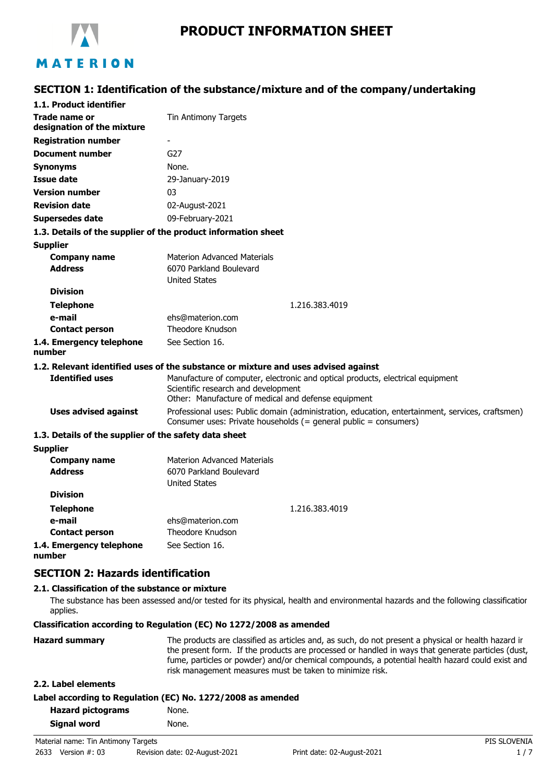

# MATERION

### **SECTION 1: Identification of the substance/mixture and of the company/undertaking**

| 1.1. Product identifier                               |                                                                                                                                                                              |  |
|-------------------------------------------------------|------------------------------------------------------------------------------------------------------------------------------------------------------------------------------|--|
| Trade name or<br>designation of the mixture           | Tin Antimony Targets                                                                                                                                                         |  |
| <b>Registration number</b>                            | $\overline{\phantom{a}}$                                                                                                                                                     |  |
| <b>Document number</b>                                | G27                                                                                                                                                                          |  |
| <b>Synonyms</b>                                       | None.                                                                                                                                                                        |  |
| Issue date                                            | 29-January-2019                                                                                                                                                              |  |
| <b>Version number</b>                                 | 03                                                                                                                                                                           |  |
| <b>Revision date</b>                                  | 02-August-2021                                                                                                                                                               |  |
| <b>Supersedes date</b>                                | 09-February-2021                                                                                                                                                             |  |
|                                                       | 1.3. Details of the supplier of the product information sheet                                                                                                                |  |
| <b>Supplier</b>                                       |                                                                                                                                                                              |  |
| <b>Company name</b>                                   | <b>Materion Advanced Materials</b>                                                                                                                                           |  |
| <b>Address</b>                                        | 6070 Parkland Boulevard                                                                                                                                                      |  |
|                                                       | <b>United States</b>                                                                                                                                                         |  |
| <b>Division</b>                                       |                                                                                                                                                                              |  |
| <b>Telephone</b>                                      | 1.216.383.4019                                                                                                                                                               |  |
| e-mail                                                | ehs@materion.com                                                                                                                                                             |  |
| <b>Contact person</b>                                 | Theodore Knudson                                                                                                                                                             |  |
| 1.4. Emergency telephone<br>number                    | See Section 16.                                                                                                                                                              |  |
|                                                       | 1.2. Relevant identified uses of the substance or mixture and uses advised against                                                                                           |  |
| <b>Identified uses</b>                                | Manufacture of computer, electronic and optical products, electrical equipment<br>Scientific research and development<br>Other: Manufacture of medical and defense equipment |  |
| <b>Uses advised against</b>                           | Professional uses: Public domain (administration, education, entertainment, services, craftsmen)<br>Consumer uses: Private households (= general public = consumers)         |  |
| 1.3. Details of the supplier of the safety data sheet |                                                                                                                                                                              |  |
| <b>Supplier</b>                                       |                                                                                                                                                                              |  |
| <b>Company name</b>                                   | <b>Materion Advanced Materials</b>                                                                                                                                           |  |
| <b>Address</b>                                        | 6070 Parkland Boulevard<br><b>United States</b>                                                                                                                              |  |
| <b>Division</b>                                       |                                                                                                                                                                              |  |
| <b>Telephone</b>                                      | 1.216.383.4019                                                                                                                                                               |  |
| e-mail                                                | ehs@materion.com                                                                                                                                                             |  |
| <b>Contact person</b>                                 | Theodore Knudson                                                                                                                                                             |  |

#### **Contact person 1.4. Emergency telephone** See Section 16.

**number**

### **SECTION 2: Hazards identification**

### **2.1. Classification of the substance or mixture**

The substance has been assessed and/or tested for its physical, health and environmental hazards and the following classification applies.

#### **Classification according to Regulation (EC) No 1272/2008 as amended**

| <b>Hazard summary</b> | The products are classified as articles and, as such, do not present a physical or health hazard ir<br>the present form. If the products are processed or handled in ways that generate particles (dust,<br>fume, particles or powder) and/or chemical compounds, a potential health hazard could exist and |
|-----------------------|-------------------------------------------------------------------------------------------------------------------------------------------------------------------------------------------------------------------------------------------------------------------------------------------------------------|
|                       | risk management measures must be taken to minimize risk.                                                                                                                                                                                                                                                    |

#### **2.2. Label elements**

| <b>Hazard pictograms</b> | None. |
|--------------------------|-------|
| <b>Signal word</b>       | None. |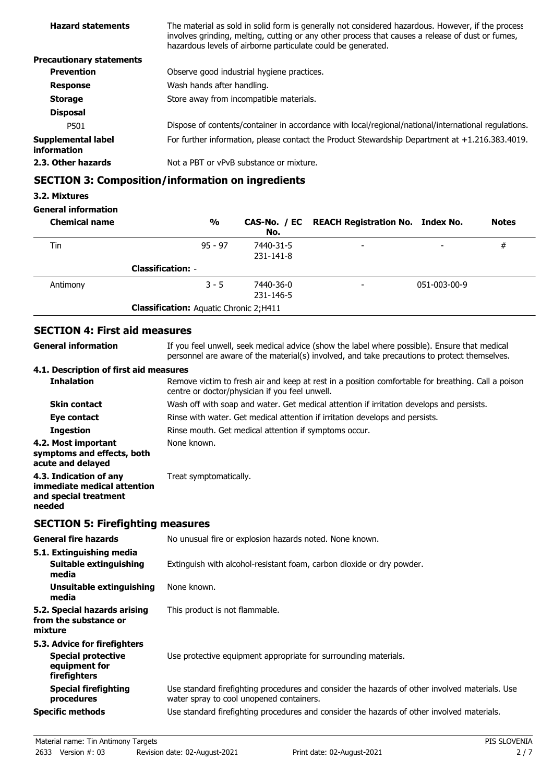| <b>Hazard statements</b>                        | The material as sold in solid form is generally not considered hazardous. However, if the process<br>involves grinding, melting, cutting or any other process that causes a release of dust or fumes,<br>hazardous levels of airborne particulate could be generated. |
|-------------------------------------------------|-----------------------------------------------------------------------------------------------------------------------------------------------------------------------------------------------------------------------------------------------------------------------|
| <b>Precautionary statements</b>                 |                                                                                                                                                                                                                                                                       |
| <b>Prevention</b>                               | Observe good industrial hygiene practices.                                                                                                                                                                                                                            |
| <b>Response</b>                                 | Wash hands after handling.                                                                                                                                                                                                                                            |
| <b>Storage</b>                                  | Store away from incompatible materials.                                                                                                                                                                                                                               |
| <b>Disposal</b>                                 |                                                                                                                                                                                                                                                                       |
| P501                                            | Dispose of contents/container in accordance with local/regional/national/international regulations.                                                                                                                                                                   |
| <b>Supplemental label</b><br><b>information</b> | For further information, please contact the Product Stewardship Department at $+1.216.383.4019$ .                                                                                                                                                                     |
| 2.3. Other hazards                              | Not a PBT or vPvB substance or mixture.                                                                                                                                                                                                                               |

## **SECTION 3: Composition/information on ingredients**

#### **3.2. Mixtures**

### **General information**

| <b>Chemical name</b> | $\frac{0}{0}$                                 | No.                    | CAS-No. / EC REACH Registration No. Index No. |              | <b>Notes</b> |
|----------------------|-----------------------------------------------|------------------------|-----------------------------------------------|--------------|--------------|
| Tin                  | $95 - 97$                                     | 7440-31-5<br>231-141-8 | $\overline{\phantom{0}}$                      | -            | #            |
|                      | <b>Classification: -</b>                      |                        |                                               |              |              |
| Antimony             | $3 - 5$                                       | 7440-36-0<br>231-146-5 | $\overline{\phantom{a}}$                      | 051-003-00-9 |              |
|                      | <b>Classification: Aquatic Chronic 2;H411</b> |                        |                                               |              |              |

### **SECTION 4: First aid measures**

| <b>General information</b>                                                               | If you feel unwell, seek medical advice (show the label where possible). Ensure that medical<br>personnel are aware of the material(s) involved, and take precautions to protect themselves. |  |  |
|------------------------------------------------------------------------------------------|----------------------------------------------------------------------------------------------------------------------------------------------------------------------------------------------|--|--|
| 4.1. Description of first aid measures                                                   |                                                                                                                                                                                              |  |  |
| <b>Inhalation</b>                                                                        | Remove victim to fresh air and keep at rest in a position comfortable for breathing. Call a poison<br>centre or doctor/physician if you feel unwell.                                         |  |  |
| <b>Skin contact</b>                                                                      | Wash off with soap and water. Get medical attention if irritation develops and persists.                                                                                                     |  |  |
| Eye contact                                                                              | Rinse with water. Get medical attention if irritation develops and persists.                                                                                                                 |  |  |
| <b>Ingestion</b>                                                                         | Rinse mouth. Get medical attention if symptoms occur.                                                                                                                                        |  |  |
| 4.2. Most important<br>symptoms and effects, both<br>acute and delayed                   | None known.                                                                                                                                                                                  |  |  |
| 4.3. Indication of any<br>immediate medical attention<br>and special treatment<br>needed | Treat symptomatically.                                                                                                                                                                       |  |  |

### **SECTION 5: Firefighting measures**

| <b>General fire hazards</b>                                                                | No unusual fire or explosion hazards noted. None known.                                                                                    |  |  |
|--------------------------------------------------------------------------------------------|--------------------------------------------------------------------------------------------------------------------------------------------|--|--|
| 5.1. Extinguishing media<br>Suitable extinguishing                                         | Extinguish with alcohol-resistant foam, carbon dioxide or dry powder.                                                                      |  |  |
| media                                                                                      |                                                                                                                                            |  |  |
| Unsuitable extinguishing<br>media                                                          | None known.                                                                                                                                |  |  |
| 5.2. Special hazards arising<br>from the substance or<br>mixture                           | This product is not flammable.                                                                                                             |  |  |
| 5.3. Advice for firefighters<br><b>Special protective</b><br>equipment for<br>firefighters | Use protective equipment appropriate for surrounding materials.                                                                            |  |  |
| <b>Special firefighting</b><br>procedures                                                  | Use standard firefighting procedures and consider the hazards of other involved materials. Use<br>water spray to cool unopened containers. |  |  |
| <b>Specific methods</b>                                                                    | Use standard firefighting procedures and consider the hazards of other involved materials.                                                 |  |  |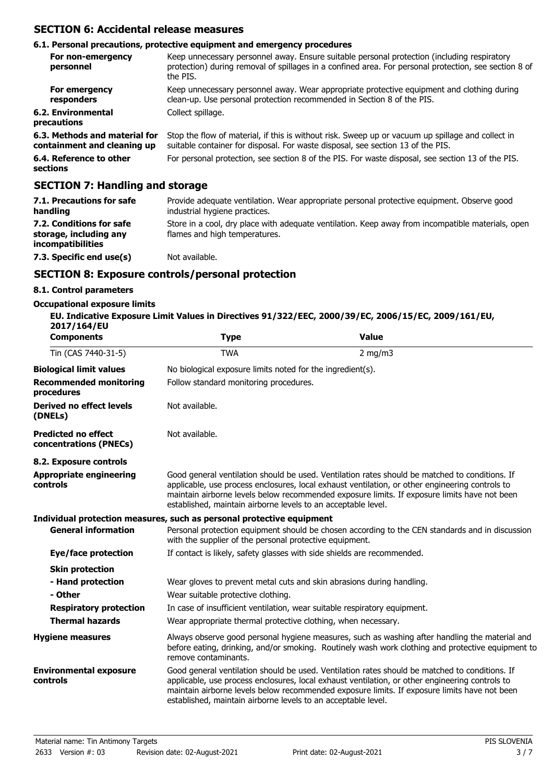### **SECTION 6: Accidental release measures**

#### **6.1. Personal precautions, protective equipment and emergency procedures**

| For non-emergency<br>personnel                               | Keep unnecessary personnel away. Ensure suitable personal protection (including respiratory<br>protection) during removal of spillages in a confined area. For personal protection, see section 8 of<br>the PIS. |
|--------------------------------------------------------------|------------------------------------------------------------------------------------------------------------------------------------------------------------------------------------------------------------------|
| For emergency<br>responders                                  | Keep unnecessary personnel away. Wear appropriate protective equipment and clothing during<br>clean-up. Use personal protection recommended in Section 8 of the PIS.                                             |
| 6.2. Environmental<br>precautions                            | Collect spillage.                                                                                                                                                                                                |
| 6.3. Methods and material for<br>containment and cleaning up | Stop the flow of material, if this is without risk. Sweep up or vacuum up spillage and collect in<br>suitable container for disposal. For waste disposal, see section 13 of the PIS.                             |
| 6.4. Reference to other<br>sections                          | For personal protection, see section 8 of the PIS. For waste disposal, see section 13 of the PIS.                                                                                                                |

### **SECTION 7: Handling and storage**

| 7.1. Precautions for safe<br>handling                                          | Provide adequate ventilation. Wear appropriate personal protective equipment. Observe good<br>industrial hygiene practices.        |
|--------------------------------------------------------------------------------|------------------------------------------------------------------------------------------------------------------------------------|
| 7.2. Conditions for safe<br>storage, including any<br><i>incompatibilities</i> | Store in a cool, dry place with adequate ventilation. Keep away from incompatible materials, open<br>flames and high temperatures. |
| 7.3. Specific end use(s)                                                       | Not available.                                                                                                                     |

#### **SECTION 8: Exposure controls/personal protection**

#### **8.1. Control parameters**

### **Occupational exposure limits**

| EU. Indicative Exposure Limit Values in Directives 91/322/EEC, 2000/39/EC, 2006/15/EC, 2009/161/EU,<br>2017/164/EU |      |              |
|--------------------------------------------------------------------------------------------------------------------|------|--------------|
| <b>Components</b>                                                                                                  | Tvpe | <b>Value</b> |
| Tin (CAS 7440-31-5)                                                                                                | TWA  | 2 $mq/m3$    |

| $1111 (C) - C110 - C121$                             |                                                                                                                                                                                                                                                                                                                                                                    | $2 \frac{11}{9}$ |
|------------------------------------------------------|--------------------------------------------------------------------------------------------------------------------------------------------------------------------------------------------------------------------------------------------------------------------------------------------------------------------------------------------------------------------|------------------|
| <b>Biological limit values</b>                       | No biological exposure limits noted for the ingredient(s).                                                                                                                                                                                                                                                                                                         |                  |
| <b>Recommended monitoring</b><br>procedures          | Follow standard monitoring procedures.                                                                                                                                                                                                                                                                                                                             |                  |
| <b>Derived no effect levels</b><br>(DNELs)           | Not available.                                                                                                                                                                                                                                                                                                                                                     |                  |
| <b>Predicted no effect</b><br>concentrations (PNECs) | Not available.                                                                                                                                                                                                                                                                                                                                                     |                  |
| 8.2. Exposure controls                               |                                                                                                                                                                                                                                                                                                                                                                    |                  |
| <b>Appropriate engineering</b><br>controls           | Good general ventilation should be used. Ventilation rates should be matched to conditions. If<br>applicable, use process enclosures, local exhaust ventilation, or other engineering controls to<br>maintain airborne levels below recommended exposure limits. If exposure limits have not been<br>established, maintain airborne levels to an acceptable level. |                  |
|                                                      | Individual protection measures, such as personal protective equipment                                                                                                                                                                                                                                                                                              |                  |
| <b>General information</b>                           | Personal protection equipment should be chosen according to the CEN standards and in discussion<br>with the supplier of the personal protective equipment.                                                                                                                                                                                                         |                  |
| Eye/face protection                                  | If contact is likely, safety glasses with side shields are recommended.                                                                                                                                                                                                                                                                                            |                  |
| <b>Skin protection</b>                               |                                                                                                                                                                                                                                                                                                                                                                    |                  |
| - Hand protection                                    | Wear gloves to prevent metal cuts and skin abrasions during handling.                                                                                                                                                                                                                                                                                              |                  |
| - Other                                              | Wear suitable protective clothing.                                                                                                                                                                                                                                                                                                                                 |                  |
| <b>Respiratory protection</b>                        | In case of insufficient ventilation, wear suitable respiratory equipment.                                                                                                                                                                                                                                                                                          |                  |
| <b>Thermal hazards</b>                               | Wear appropriate thermal protective clothing, when necessary.                                                                                                                                                                                                                                                                                                      |                  |
| <b>Hygiene measures</b>                              | Always observe good personal hygiene measures, such as washing after handling the material and<br>before eating, drinking, and/or smoking. Routinely wash work clothing and protective equipment to<br>remove contaminants.                                                                                                                                        |                  |
| <b>Environmental exposure</b><br>controls            | Good general ventilation should be used. Ventilation rates should be matched to conditions. If<br>applicable, use process enclosures, local exhaust ventilation, or other engineering controls to<br>maintain airborne levels below recommended exposure limits. If exposure limits have not been<br>established, maintain airborne levels to an acceptable level. |                  |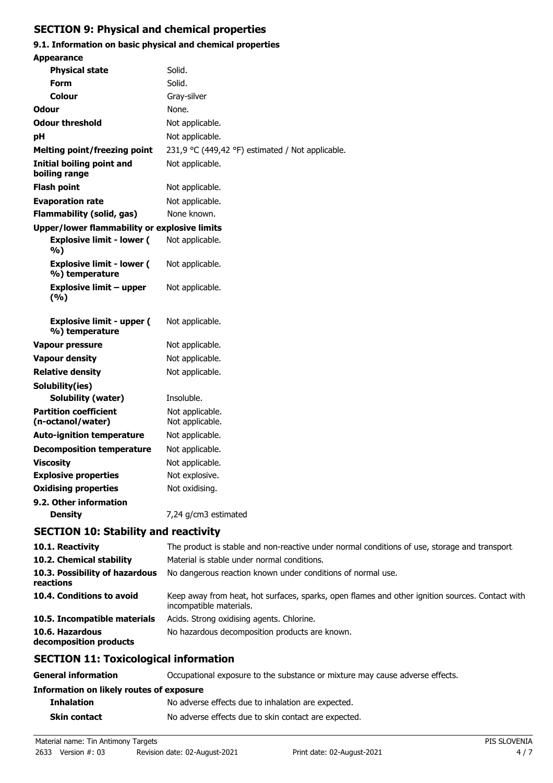### **SECTION 9: Physical and chemical properties**

### **9.1. Information on basic physical and chemical properties**

| <b>Appearance</b>                                  |                                                                                                                         |
|----------------------------------------------------|-------------------------------------------------------------------------------------------------------------------------|
| <b>Physical state</b>                              | Solid.                                                                                                                  |
| <b>Form</b>                                        | Solid.                                                                                                                  |
| Colour                                             | Gray-silver                                                                                                             |
| Odour                                              | None.                                                                                                                   |
| <b>Odour threshold</b>                             | Not applicable.                                                                                                         |
| рH                                                 | Not applicable.                                                                                                         |
| <b>Melting point/freezing point</b>                | 231,9 °C (449,42 °F) estimated / Not applicable.                                                                        |
| Initial boiling point and<br>boiling range         | Not applicable.                                                                                                         |
| <b>Flash point</b>                                 | Not applicable.                                                                                                         |
| <b>Evaporation rate</b>                            | Not applicable.                                                                                                         |
| <b>Flammability (solid, gas)</b>                   | None known.                                                                                                             |
| Upper/lower flammability or explosive limits       |                                                                                                                         |
| <b>Explosive limit - lower (</b><br>%)             | Not applicable.                                                                                                         |
| <b>Explosive limit - lower (</b><br>%) temperature | Not applicable.                                                                                                         |
| <b>Explosive limit - upper</b><br>(%)              | Not applicable.                                                                                                         |
| <b>Explosive limit - upper (</b><br>%) temperature | Not applicable.                                                                                                         |
| <b>Vapour pressure</b>                             | Not applicable.                                                                                                         |
| <b>Vapour density</b>                              | Not applicable.                                                                                                         |
| <b>Relative density</b>                            | Not applicable.                                                                                                         |
| Solubility(ies)                                    |                                                                                                                         |
| <b>Solubility (water)</b>                          | Insoluble.                                                                                                              |
| <b>Partition coefficient</b><br>(n-octanol/water)  | Not applicable.<br>Not applicable.                                                                                      |
| <b>Auto-ignition temperature</b>                   | Not applicable.                                                                                                         |
| <b>Decomposition temperature</b>                   | Not applicable.                                                                                                         |
| <b>Viscosity</b>                                   | Not applicable.                                                                                                         |
| <b>Explosive properties</b>                        | Not explosive.                                                                                                          |
| <b>Oxidising properties</b>                        | Not oxidising.                                                                                                          |
| 9.2. Other information<br><b>Density</b>           | 7,24 g/cm3 estimated                                                                                                    |
| <b>SECTION 10: Stability and reactivity</b>        |                                                                                                                         |
| 10.1. Reactivity                                   | The product is stable and non-reactive under normal conditions of use, storage and transport.                           |
| 10.2. Chemical stability                           | Material is stable under normal conditions.                                                                             |
| 10.3. Possibility of hazardous<br>reactions        | No dangerous reaction known under conditions of normal use.                                                             |
| 10.4. Conditions to avoid                          | Keep away from heat, hot surfaces, sparks, open flames and other ignition sources. Contact w<br>incompatible materials. |
| 10.5. Incompatible materials                       | Acids. Strong oxidising agents. Chlorine.                                                                               |
| 10.6. Hazardous<br>decomposition products          | No hazardous decomposition products are known.                                                                          |

### **SECTION 11: Toxicological information**

| <b>General information</b>               | Occupational exposure to the substance or mixture may cause adverse effects. |
|------------------------------------------|------------------------------------------------------------------------------|
| Information on likely routes of exposure |                                                                              |
| <b>Inhalation</b>                        | No adverse effects due to inhalation are expected.                           |
| <b>Skin contact</b>                      | No adverse effects due to skin contact are expected.                         |

ignition sources. Contact with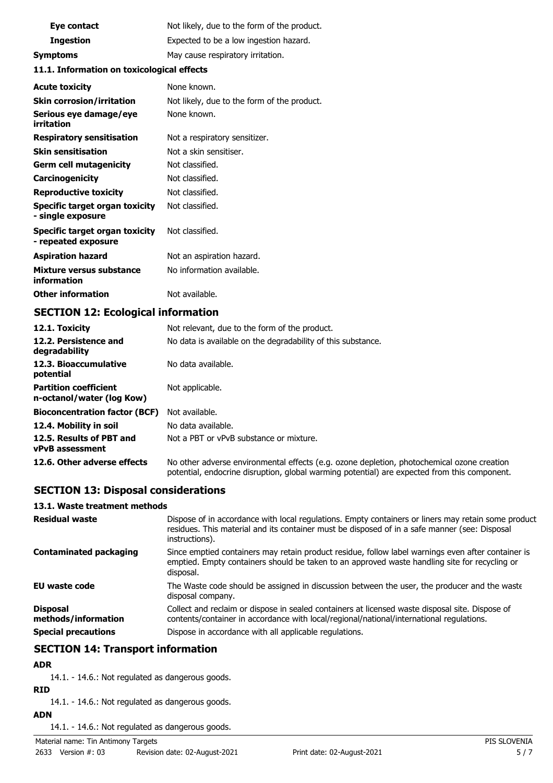| Eye contact                                | Not likely, due to the form of the product. |  |
|--------------------------------------------|---------------------------------------------|--|
| <b>Ingestion</b>                           | Expected to be a low ingestion hazard.      |  |
| <b>Symptoms</b>                            | May cause respiratory irritation.           |  |
| 11.1. Information on toxicological effects |                                             |  |
| <b>Acute toxicity</b>                      | None known.                                 |  |
| <b>Skin corrosion/irritation</b>           | Not likely, due to the form of the product. |  |

| <b>Skin corrosion/irritation</b>                      | Not likely, due to the form of the |
|-------------------------------------------------------|------------------------------------|
| Serious eye damage/eye<br>irritation                  | None known.                        |
| <b>Respiratory sensitisation</b>                      | Not a respiratory sensitizer.      |
| <b>Skin sensitisation</b>                             | Not a skin sensitiser.             |
| Germ cell mutagenicity                                | Not classified.                    |
| <b>Carcinogenicity</b>                                | Not classified.                    |
| <b>Reproductive toxicity</b>                          | Not classified.                    |
| Specific target organ toxicity<br>- single exposure   | Not classified.                    |
| Specific target organ toxicity<br>- repeated exposure | Not classified.                    |
| <b>Aspiration hazard</b>                              | Not an aspiration hazard.          |
| Mixture versus substance<br>information               | No information available.          |
| <b>Other information</b>                              | Not available.                     |

### **SECTION 12: Ecological information**

| 12.1. Toxicity                                            | Not relevant, due to the form of the product.                                                                                                                                              |
|-----------------------------------------------------------|--------------------------------------------------------------------------------------------------------------------------------------------------------------------------------------------|
| 12.2. Persistence and<br>degradability                    | No data is available on the degradability of this substance.                                                                                                                               |
| 12.3. Bioaccumulative<br>potential                        | No data available.                                                                                                                                                                         |
| <b>Partition coefficient</b><br>n-octanol/water (log Kow) | Not applicable.                                                                                                                                                                            |
| <b>Bioconcentration factor (BCF)</b>                      | Not available.                                                                                                                                                                             |
| 12.4. Mobility in soil                                    | No data available.                                                                                                                                                                         |
| 12.5. Results of PBT and<br><b>vPvB</b> assessment        | Not a PBT or vPvB substance or mixture.                                                                                                                                                    |
| 12.6. Other adverse effects                               | No other adverse environmental effects (e.g. ozone depletion, photochemical ozone creation<br>potential, endocrine disruption, global warming potential) are expected from this component. |

### **SECTION 13: Disposal considerations**

### **13.1. Waste treatment methods**

| <b>Residual waste</b>                  | Dispose of in accordance with local regulations. Empty containers or liners may retain some product<br>residues. This material and its container must be disposed of in a safe manner (see: Disposal<br>instructions). |
|----------------------------------------|------------------------------------------------------------------------------------------------------------------------------------------------------------------------------------------------------------------------|
| <b>Contaminated packaging</b>          | Since emptied containers may retain product residue, follow label warnings even after container is<br>emptied. Empty containers should be taken to an approved waste handling site for recycling or<br>disposal.       |
| EU waste code                          | The Waste code should be assigned in discussion between the user, the producer and the waste<br>disposal company.                                                                                                      |
| <b>Disposal</b><br>methods/information | Collect and reclaim or dispose in sealed containers at licensed waste disposal site. Dispose of<br>contents/container in accordance with local/regional/national/international regulations.                            |
| <b>Special precautions</b>             | Dispose in accordance with all applicable regulations.                                                                                                                                                                 |

### **SECTION 14: Transport information**

### **ADR**

14.1. - 14.6.: Not regulated as dangerous goods.

### **RID**

14.1. - 14.6.: Not regulated as dangerous goods.

**ADN**

14.1. - 14.6.: Not regulated as dangerous goods.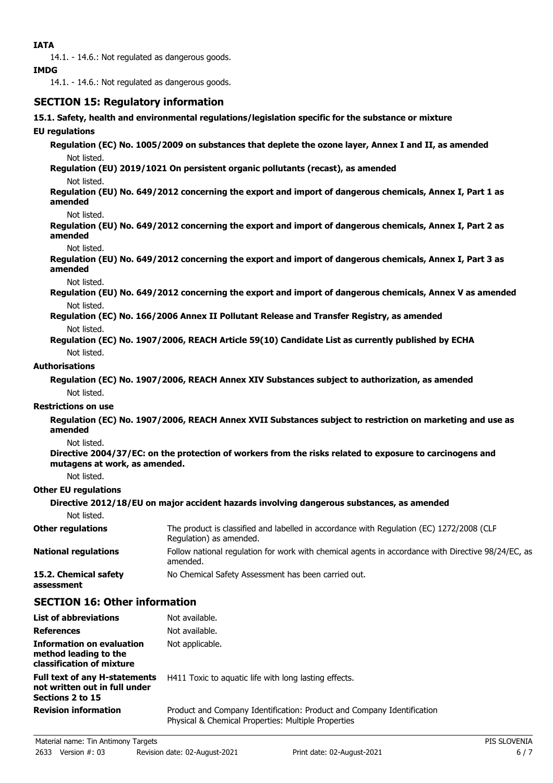14.1. - 14.6.: Not regulated as dangerous goods.

#### **IMDG**

14.1. - 14.6.: Not regulated as dangerous goods.

### **SECTION 15: Regulatory information**

**15.1. Safety, health and environmental regulations/legislation specific for the substance or mixture**

#### **EU regulations**

**Regulation (EC) No. 1005/2009 on substances that deplete the ozone layer, Annex I and II, as amended** Not listed.

**Regulation (EU) 2019/1021 On persistent organic pollutants (recast), as amended** Not listed.

**Regulation (EU) No. 649/2012 concerning the export and import of dangerous chemicals, Annex I, Part 1 as amended**

Not listed.

**Regulation (EU) No. 649/2012 concerning the export and import of dangerous chemicals, Annex I, Part 2 as amended**

#### Not listed.

**Regulation (EU) No. 649/2012 concerning the export and import of dangerous chemicals, Annex I, Part 3 as amended**

Not listed.

**Regulation (EU) No. 649/2012 concerning the export and import of dangerous chemicals, Annex V as amended** Not listed.

**Regulation (EC) No. 166/2006 Annex II Pollutant Release and Transfer Registry, as amended** Not listed.

**Regulation (EC) No. 1907/2006, REACH Article 59(10) Candidate List as currently published by ECHA** Not listed.

#### **Authorisations**

**Regulation (EC) No. 1907/2006, REACH Annex XIV Substances subject to authorization, as amended** Not listed.

#### **Restrictions on use**

**Regulation (EC) No. 1907/2006, REACH Annex XVII Substances subject to restriction on marketing and use as amended**

Not listed.

**Directive 2004/37/EC: on the protection of workers from the risks related to exposure to carcinogens and mutagens at work, as amended.**

Not listed.

#### **Other EU regulations**

#### **Directive 2012/18/EU on major accident hazards involving dangerous substances, as amended**

Not listed.

| <b>Other regulations</b>            | The product is classified and labelled in accordance with Regulation (EC) 1272/2008 (CLP<br>Regulation) as amended. |
|-------------------------------------|---------------------------------------------------------------------------------------------------------------------|
| <b>National regulations</b>         | Follow national regulation for work with chemical agents in accordance with Directive 98/24/EC, as<br>amended.      |
| 15.2. Chemical safety<br>assessment | No Chemical Safety Assessment has been carried out.                                                                 |

### **SECTION 16: Other information**

| <b>List of abbreviations</b>                                                              | Not available.                                                                                                                |
|-------------------------------------------------------------------------------------------|-------------------------------------------------------------------------------------------------------------------------------|
| <b>References</b>                                                                         | Not available.                                                                                                                |
| Information on evaluation<br>method leading to the<br>classification of mixture           | Not applicable.                                                                                                               |
| <b>Full text of any H-statements</b><br>not written out in full under<br>Sections 2 to 15 | H411 Toxic to aguatic life with long lasting effects.                                                                         |
| <b>Revision information</b>                                                               | Product and Company Identification: Product and Company Identification<br>Physical & Chemical Properties: Multiple Properties |